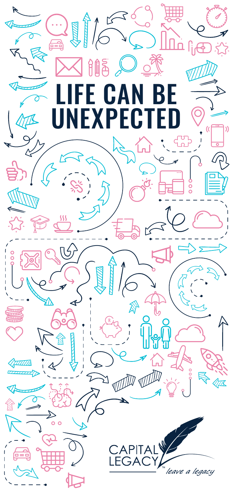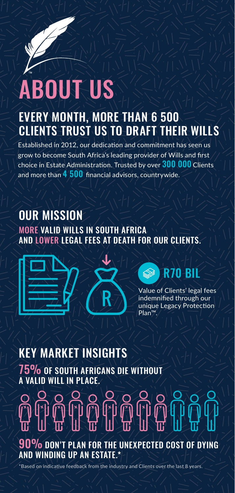## **BOUT US**

## EVERY MONTH, MORE THAN 6 500 CLIENTS TRUST US TO DRAFT THEIR WILLS

Established in 2012, our dedication and commitment has seen us grow to become South Africa's leading provider of Wills and first choice in Estate Administration. Trusted by over 300 000 Clients and more than  $4500$  financial advisors, countrywide.

#### OUR MISSION MORE VALID WILLS IN SOUTH AFRICA AND LOWER LEGAL FEES AT DEATH FOR OUR CLIENTS.



## R70 BIL

Value of Clients' legal fees indemnified through our unique Legacy Protection Plan™.

## KEY MARKET INSIGHTS

75% OF SOUTH AFRICANS DIE WITHOUT A VALID WILL IN PLACE.

# 90% DON'T PLAN FOR THE UNEXPECTED COST OF DYING

AND WINDING UP AN ESTATE.\*

\*Based on indicative feedback from the industry and Clients over the last 8 years.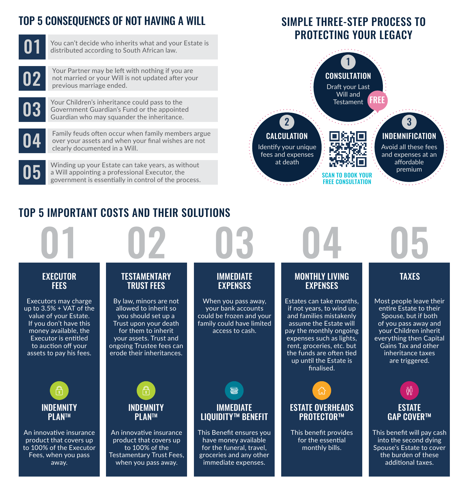## TOP 5 CONSEQUENCES OF NOT HAVING A WILL SIMPLE THREE-STEP PROCESS TO



You can't decide who inherits what and your Estate is distributed according to South African law.



Your Partner may be left with nothing if you are not married or your Will is not updated after your<br>previous marriage ended.

Your Children's inheritance could pass to the Government Guardian's Fund or the appointed<br>Guardian who may squander the inheritance.



Family feuds often occur when family members argue over your assets and when your final wishes are not<br>clearly documented in a Will.

Winding up your Estate can take years, as without<br>a Will appointing a professional Executor, the government is essentially in control of the process.

## PROTECTING YOUR LEGACY



## TOP 5 IMPORTANT COSTS AND THEIR SOLUTIONS

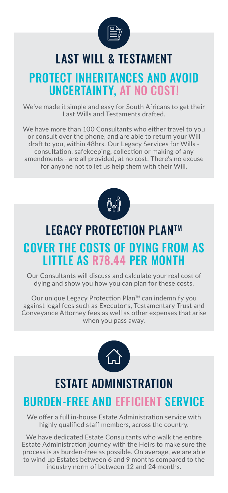

## LAST WILL & TESTAMENT

## **PROTECT INHERITANCES AND AVOID** UNCERTAINTY, AT NO COST!

We've made it simple and easy for South Africans to get their Last Wills and Testaments drafted.

We have more than 100 Consultants who either travel to you or consult over the phone, and are able to return your Will draft to you, within 48hrs. Our Legacy Services for Wills consultation, safekeeping, collection or making of any amendments - are all provided, at no cost. There's no excuse for anyone not to let us help them with their Will.



## LEGACY PROTECTION PLANTM COVER THE COSTS OF DYING FROM AS LITTLE AS R78.44 PER MONTH

Our Consultants will discuss and calculate your real cost of dying and show you how you can plan for these costs.

Our unique Legacy Protection Plan™ can indemnify you against legal fees such as Executor's, Testamentary Trust and Conveyance Attorney fees as well as other expenses that arise when you pass away.



## ESTATE ADMINISTRATION

## BURDEN-FREE AND EFFICIENT SERVICE

We offer a full in-house Estate Administration service with highly qualified staff members, across the country.

We have dedicated Estate Consultants who walk the entire Estate Administration journey with the Heirs to make sure the process is as burden-free as possible. On average, we are able to wind up Estates between 6 and 9 months compared to the industry norm of between 12 and 24 months.